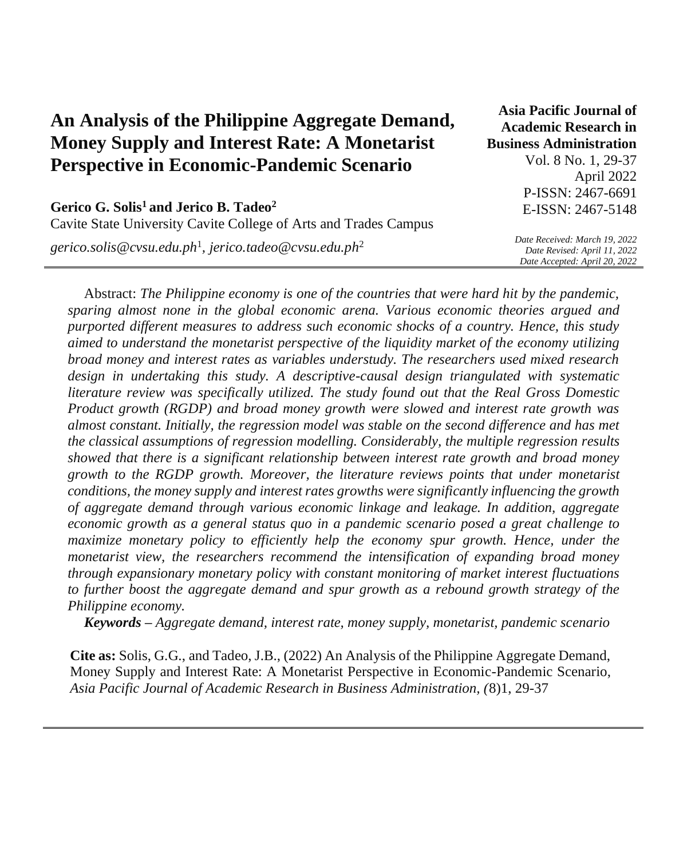| An Analysis of the Philippine Aggregate Demand,     |
|-----------------------------------------------------|
| <b>Money Supply and Interest Rate: A Monetarist</b> |
| <b>Perspective in Economic-Pandemic Scenario</b>    |

**Asia Pacific Journal of Academic Research in Business Administration**  Vol. 8 No. 1, 29-37 April 2022 P-ISSN: 2467-6691 E-ISSN: 2467-5148

# **Gerico G. Solis<sup>1</sup>and Jerico B. Tadeo<sup>2</sup>** Cavite State University Cavite College of Arts and Trades Campus

*[gerico.solis@cvsu.edu.ph](mailto:gerico.solis@cvsu.edu.ph)*<sup>1</sup> *, [jerico.tadeo@cvsu.edu.ph](mailto:jerico.tadeo@cvsu.edu.ph)*<sup>2</sup>

*Date Received: March 19, 2022 Date Revised: April 11, 2022 Date Accepted: April 20, 2022*

Abstract: *The Philippine economy is one of the countries that were hard hit by the pandemic, sparing almost none in the global economic arena. Various economic theories argued and purported different measures to address such economic shocks of a country. Hence, this study aimed to understand the monetarist perspective of the liquidity market of the economy utilizing broad money and interest rates as variables understudy. The researchers used mixed research design in undertaking this study. A descriptive-causal design triangulated with systematic literature review was specifically utilized. The study found out that the Real Gross Domestic Product growth (RGDP) and broad money growth were slowed and interest rate growth was almost constant. Initially, the regression model was stable on the second difference and has met the classical assumptions of regression modelling. Considerably, the multiple regression results showed that there is a significant relationship between interest rate growth and broad money growth to the RGDP growth. Moreover, the literature reviews points that under monetarist conditions, the money supply and interest rates growths were significantly influencing the growth of aggregate demand through various economic linkage and leakage. In addition, aggregate economic growth as a general status quo in a pandemic scenario posed a great challenge to maximize monetary policy to efficiently help the economy spur growth. Hence, under the monetarist view, the researchers recommend the intensification of expanding broad money through expansionary monetary policy with constant monitoring of market interest fluctuations to further boost the aggregate demand and spur growth as a rebound growth strategy of the Philippine economy.*

*Keywords – Aggregate demand, interest rate, money supply, monetarist, pandemic scenario*

**Cite as:** Solis, G.G., and Tadeo, J.B., (2022) An Analysis of the Philippine Aggregate Demand, Money Supply and Interest Rate: A Monetarist Perspective in Economic-Pandemic Scenario, *Asia Pacific Journal of Academic Research in Business Administration, (*8)1, 29-37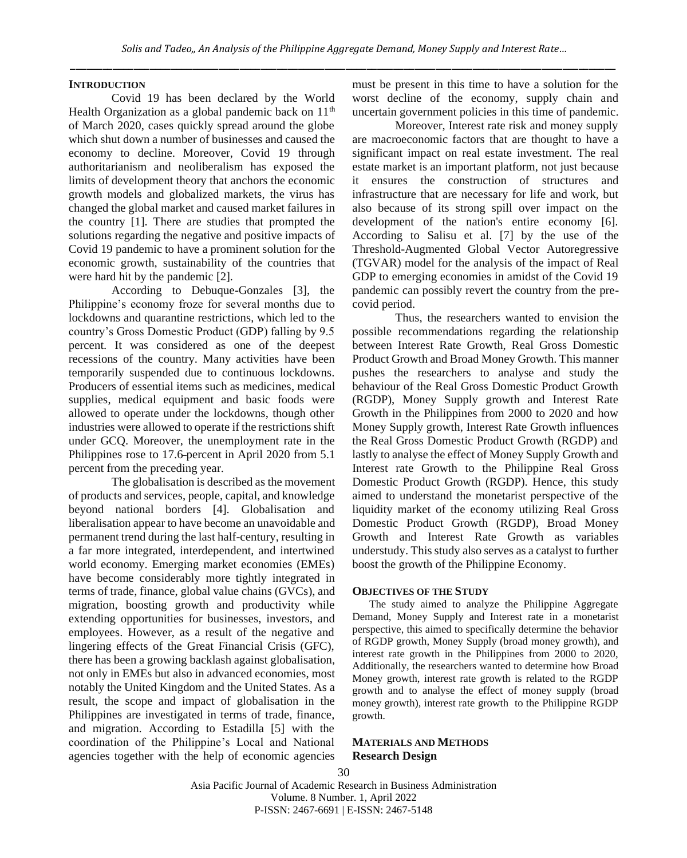#### **INTRODUCTION**

Covid 19 has been declared by the World Health Organization as a global pandemic back on  $11<sup>th</sup>$ of March 2020, cases quickly spread around the globe which shut down a number of businesses and caused the economy to decline. Moreover, Covid 19 through authoritarianism and neoliberalism has exposed the limits of development theory that anchors the economic growth models and globalized markets, the virus has changed the global market and caused market failures in the country [1]. There are studies that prompted the solutions regarding the negative and positive impacts of Covid 19 pandemic to have a prominent solution for the economic growth, sustainability of the countries that were hard hit by the pandemic [2].

According to Debuque-Gonzales [3], the Philippine's economy froze for several months due to lockdowns and quarantine restrictions, which led to the country's Gross Domestic Product (GDP) falling by 9.5 percent. It was considered as one of the deepest recessions of the country. Many activities have been temporarily suspended due to continuous lockdowns. Producers of essential items such as medicines, medical supplies, medical equipment and basic foods were allowed to operate under the lockdowns, though other industries were allowed to operate if the restrictions shift under GCQ. Moreover, the unemployment rate in the Philippines rose to 17.6 percent in April 2020 from 5.1 percent from the preceding year.

The globalisation is described as the movement of products and services, people, capital, and knowledge beyond national borders [4]. Globalisation and liberalisation appear to have become an unavoidable and permanent trend during the last half-century, resulting in a far more integrated, interdependent, and intertwined world economy. Emerging market economies (EMEs) have become considerably more tightly integrated in terms of trade, finance, global value chains (GVCs), and migration, boosting growth and productivity while extending opportunities for businesses, investors, and employees. However, as a result of the negative and lingering effects of the Great Financial Crisis (GFC), there has been a growing backlash against globalisation, not only in EMEs but also in advanced economies, most notably the United Kingdom and the United States. As a result, the scope and impact of globalisation in the Philippines are investigated in terms of trade, finance, and migration. According to Estadilla [5] with the coordination of the Philippine's Local and National agencies together with the help of economic agencies must be present in this time to have a solution for the worst decline of the economy, supply chain and uncertain government policies in this time of pandemic.

Moreover, Interest rate risk and money supply are macroeconomic factors that are thought to have a significant impact on real estate investment. The real estate market is an important platform, not just because it ensures the construction of structures and infrastructure that are necessary for life and work, but also because of its strong spill over impact on the development of the nation's entire economy [6]. According to Salisu et al. [7] by the use of the Threshold-Augmented Global Vector Autoregressive (TGVAR) model for the analysis of the impact of Real GDP to emerging economies in amidst of the Covid 19 pandemic can possibly revert the country from the precovid period.

Thus, the researchers wanted to envision the possible recommendations regarding the relationship between Interest Rate Growth, Real Gross Domestic Product Growth and Broad Money Growth. This manner pushes the researchers to analyse and study the behaviour of the Real Gross Domestic Product Growth (RGDP), Money Supply growth and Interest Rate Growth in the Philippines from 2000 to 2020 and how Money Supply growth, Interest Rate Growth influences the Real Gross Domestic Product Growth (RGDP) and lastly to analyse the effect of Money Supply Growth and Interest rate Growth to the Philippine Real Gross Domestic Product Growth (RGDP). Hence, this study aimed to understand the monetarist perspective of the liquidity market of the economy utilizing Real Gross Domestic Product Growth (RGDP), Broad Money Growth and Interest Rate Growth as variables understudy. This study also serves as a catalyst to further boost the growth of the Philippine Economy.

#### **OBJECTIVES OF THE STUDY**

The study aimed to analyze the Philippine Aggregate Demand, Money Supply and Interest rate in a monetarist perspective, this aimed to specifically determine the behavior of RGDP growth, Money Supply (broad money growth), and interest rate growth in the Philippines from 2000 to 2020, Additionally, the researchers wanted to determine how Broad Money growth, interest rate growth is related to the RGDP growth and to analyse the effect of money supply (broad money growth), interest rate growth to the Philippine RGDP growth.

# **MATERIALS AND METHODS Research Design**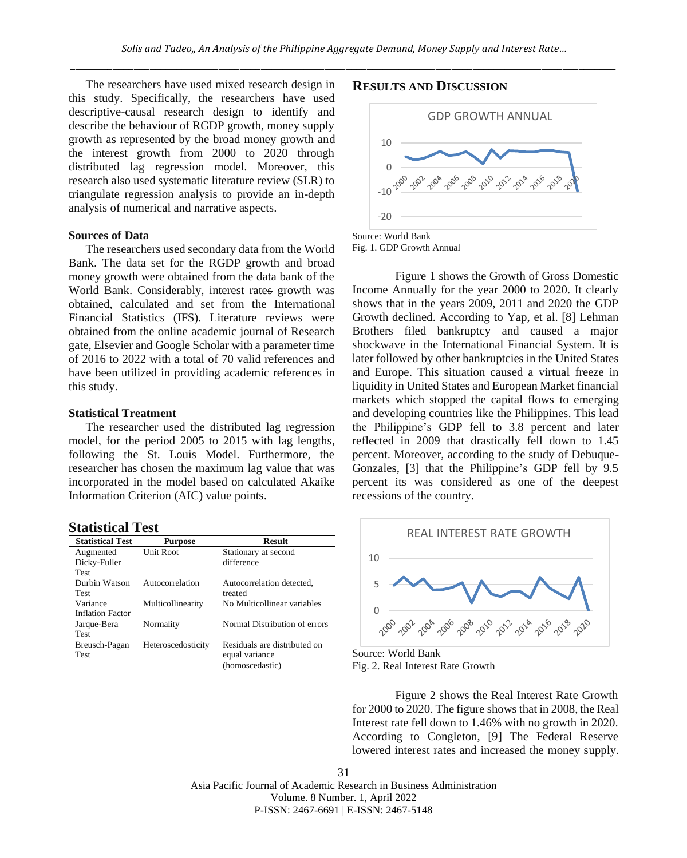The researchers have used mixed research design in this study. Specifically, the researchers have used descriptive-causal research design to identify and describe the behaviour of RGDP growth, money supply growth as represented by the broad money growth and the interest growth from 2000 to 2020 through distributed lag regression model. Moreover, this research also used systematic literature review (SLR) to triangulate regression analysis to provide an in-depth analysis of numerical and narrative aspects.

### **Sources of Data**

The researchers used secondary data from the World Bank. The data set for the RGDP growth and broad money growth were obtained from the data bank of the World Bank. Considerably, interest rates growth was obtained, calculated and set from the International Financial Statistics (IFS). Literature reviews were obtained from the online academic journal of Research gate, Elsevier and Google Scholar with a parameter time of 2016 to 2022 with a total of 70 valid references and have been utilized in providing academic references in this study.

# **Statistical Treatment**

The researcher used the distributed lag regression model, for the period 2005 to 2015 with lag lengths, following the St. Louis Model. Furthermore, the researcher has chosen the maximum lag value that was incorporated in the model based on calculated Akaike Information Criterion (AIC) value points.

### **Statistical Test**

| <b>Statistical Test</b> | <b>Purpose</b>     | <b>Result</b>                 |
|-------------------------|--------------------|-------------------------------|
| Augmented               | Unit Root          | Stationary at second          |
| Dicky-Fuller            |                    | difference                    |
| Test                    |                    |                               |
| Durbin Watson           | Autocorrelation    | Autocorrelation detected,     |
| <b>Test</b>             |                    | treated                       |
| Variance                | Multicollinearity  | No Multicollinear variables   |
| <b>Inflation Factor</b> |                    |                               |
| Jarque-Bera             | Normality          | Normal Distribution of errors |
| <b>Test</b>             |                    |                               |
| Breusch-Pagan           | Heteroscedosticity | Residuals are distributed on  |
| <b>Test</b>             |                    | equal variance                |
|                         |                    | (homoscedastic)               |

# **RESULTS AND DISCUSSION**



Fig. 1. GDP Growth Annual

Figure 1 shows the Growth of Gross Domestic Income Annually for the year 2000 to 2020. It clearly shows that in the years 2009, 2011 and 2020 the GDP Growth declined. According to Yap, et al. [8] Lehman Brothers filed bankruptcy and caused a major shockwave in the International Financial System. It is later followed by other bankruptcies in the United States and Europe. This situation caused a virtual freeze in liquidity in United States and European Market financial markets which stopped the capital flows to emerging and developing countries like the Philippines. This lead the Philippine's GDP fell to 3.8 percent and later reflected in 2009 that drastically fell down to 1.45 percent. Moreover, according to the study of Debuque-Gonzales, [3] that the Philippine's GDP fell by 9.5 percent its was considered as one of the deepest recessions of the country.



Source: World Bank Fig. 2. Real Interest Rate Growth

Figure 2 shows the Real Interest Rate Growth for 2000 to 2020. The figure shows that in 2008, the Real Interest rate fell down to 1.46% with no growth in 2020. According to Congleton, [9] The Federal Reserve lowered interest rates and increased the money supply.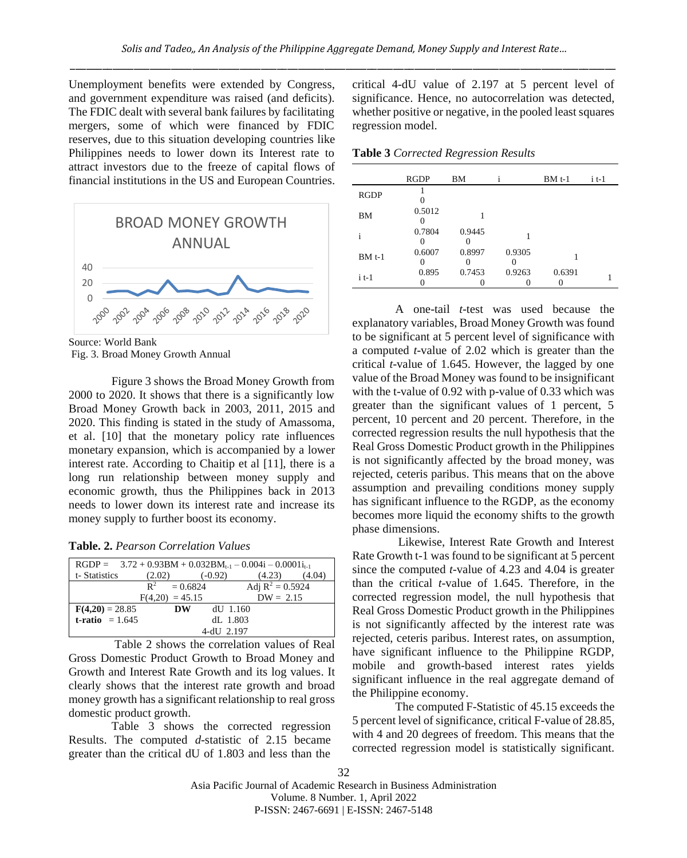Unemployment benefits were extended by Congress, and government expenditure was raised (and deficits). The FDIC dealt with several bank failures by facilitating mergers, some of which were financed by FDIC reserves, due to this situation developing countries like Philippines needs to lower down its Interest rate to attract investors due to the freeze of capital flows of financial institutions in the US and European Countries.



Source: World Bank Fig. 3. Broad Money Growth Annual

Figure 3 shows the Broad Money Growth from 2000 to 2020. It shows that there is a significantly low Broad Money Growth back in 2003, 2011, 2015 and 2020. This finding is stated in the study of Amassoma, et al. [10] that the monetary policy rate influences monetary expansion, which is accompanied by a lower interest rate. According to Chaitip et al [11], there is a long run relationship between money supply and economic growth, thus the Philippines back in 2013 needs to lower down its interest rate and increase its money supply to further boost its economy.

| Table. 2. Pearson Correlation Values |  |  |  |  |  |
|--------------------------------------|--|--|--|--|--|
|--------------------------------------|--|--|--|--|--|

| $RGDP = 3.72 + 0.93BM + 0.032BM_{t-1} - 0.004i - 0.0001i_{t-1}$ |                     |                    |
|-----------------------------------------------------------------|---------------------|--------------------|
| t-Statistics                                                    | (2.02)<br>$(-0.92)$ | (4.23)<br>(4.04)   |
|                                                                 | $R^2 = 0.6824$      | Adj $R^2 = 0.5924$ |
|                                                                 | $F(4,20) = 45.15$   | $DW = 2.15$        |
| $F(4,20) = 28.85$                                               | $dU$ 1.160<br>DW    |                    |
| t-ratio $= 1.645$                                               | dL 1.803            |                    |
|                                                                 | 4-dU 2.197          |                    |

Table 2 shows the correlation values of Real Gross Domestic Product Growth to Broad Money and Growth and Interest Rate Growth and its log values. It clearly shows that the interest rate growth and broad money growth has a significant relationship to real gross domestic product growth.

Table 3 shows the corrected regression Results. The computed *d*-statistic of 2.15 became greater than the critical dU of 1.803 and less than the

critical 4-dU value of 2.197 at 5 percent level of significance. Hence, no autocorrelation was detected, whether positive or negative, in the pooled least squares regression model.

**Table 3** *Corrected Regression Results*

|             | RGDP   | BM     |        | $BMt-1$ | i t-1 |
|-------------|--------|--------|--------|---------|-------|
| <b>RGDP</b> |        |        |        |         |       |
| BМ          | 0.5012 |        |        |         |       |
|             | 0.7804 | 0.9445 |        |         |       |
| $BMt-1$     | 0.6007 | 0.8997 | 0.9305 |         |       |
| $i$ t-1     | 0.895  | 0.7453 | 0.9263 | 0.6391  |       |

A one-tail *t*-test was used because the explanatory variables, Broad Money Growth was found to be significant at 5 percent level of significance with a computed *t-*value of 2.02 which is greater than the critical *t*-value of 1.645. However, the lagged by one value of the Broad Money was found to be insignificant with the t-value of 0.92 with p-value of 0.33 which was greater than the significant values of 1 percent, 5 percent, 10 percent and 20 percent. Therefore, in the corrected regression results the null hypothesis that the Real Gross Domestic Product growth in the Philippines is not significantly affected by the broad money, was rejected, ceteris paribus. This means that on the above assumption and prevailing conditions money supply has significant influence to the RGDP, as the economy becomes more liquid the economy shifts to the growth phase dimensions.

Likewise, Interest Rate Growth and Interest Rate Growth t-1 was found to be significant at 5 percent since the computed *t-*value of 4.23 and 4.04 is greater than the critical *t-*value of 1.645. Therefore, in the corrected regression model, the null hypothesis that Real Gross Domestic Product growth in the Philippines is not significantly affected by the interest rate was rejected, ceteris paribus. Interest rates, on assumption, have significant influence to the Philippine RGDP, mobile and growth-based interest rates yields significant influence in the real aggregate demand of the Philippine economy.

The computed F-Statistic of 45.15 exceeds the 5 percent level of significance, critical F-value of 28.85, with 4 and 20 degrees of freedom. This means that the corrected regression model is statistically significant.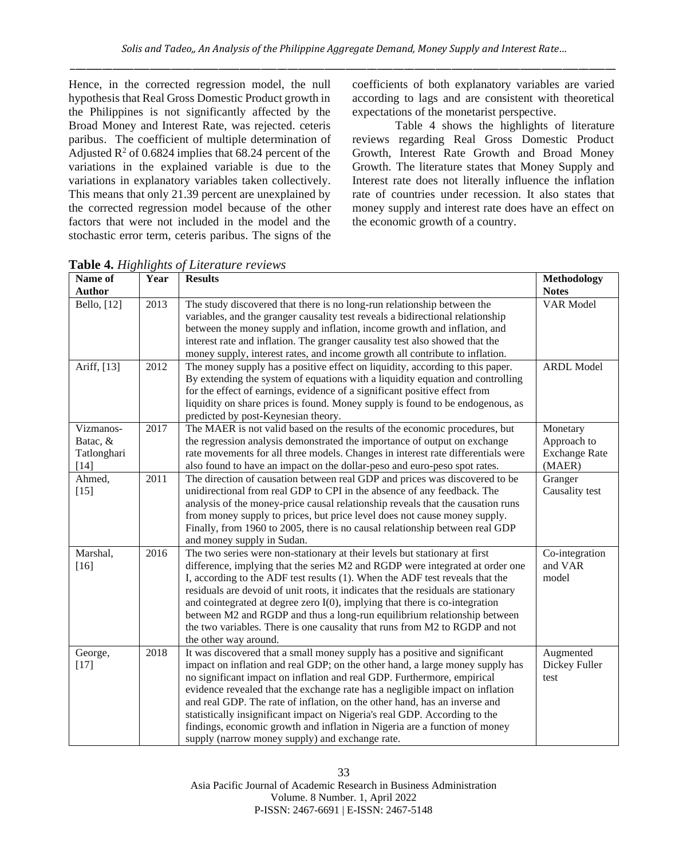Hence, in the corrected regression model, the null hypothesis that Real Gross Domestic Product growth in the Philippines is not significantly affected by the Broad Money and Interest Rate, was rejected. ceteris paribus. The coefficient of multiple determination of Adjusted  $\mathbb{R}^2$  of 0.6824 implies that 68.24 percent of the variations in the explained variable is due to the variations in explanatory variables taken collectively. This means that only 21.39 percent are unexplained by the corrected regression model because of the other factors that were not included in the model and the stochastic error term, ceteris paribus. The signs of the

coefficients of both explanatory variables are varied according to lags and are consistent with theoretical expectations of the monetarist perspective.

Table 4 shows the highlights of literature reviews regarding Real Gross Domestic Product Growth, Interest Rate Growth and Broad Money Growth. The literature states that Money Supply and Interest rate does not literally influence the inflation rate of countries under recession. It also states that money supply and interest rate does have an effect on the economic growth of a country.

| Name of<br>Author                            | Year | <b>Results</b>                                                                                                                                                                                                                                                                                                                                                                                                                                                                                                                                                                                                       | Methodology<br><b>Notes</b>                               |
|----------------------------------------------|------|----------------------------------------------------------------------------------------------------------------------------------------------------------------------------------------------------------------------------------------------------------------------------------------------------------------------------------------------------------------------------------------------------------------------------------------------------------------------------------------------------------------------------------------------------------------------------------------------------------------------|-----------------------------------------------------------|
| Bello, [12]                                  | 2013 | The study discovered that there is no long-run relationship between the<br>variables, and the granger causality test reveals a bidirectional relationship<br>between the money supply and inflation, income growth and inflation, and<br>interest rate and inflation. The granger causality test also showed that the<br>money supply, interest rates, and income growth all contribute to inflation.                                                                                                                                                                                                                | <b>VAR Model</b>                                          |
| Ariff, [13]                                  | 2012 | The money supply has a positive effect on liquidity, according to this paper.<br>By extending the system of equations with a liquidity equation and controlling<br>for the effect of earnings, evidence of a significant positive effect from<br>liquidity on share prices is found. Money supply is found to be endogenous, as<br>predicted by post-Keynesian theory.                                                                                                                                                                                                                                               | <b>ARDL Model</b>                                         |
| Vizmanos-<br>Batac, &<br>Tatlonghari<br>[14] | 2017 | The MAER is not valid based on the results of the economic procedures, but<br>the regression analysis demonstrated the importance of output on exchange<br>rate movements for all three models. Changes in interest rate differentials were<br>also found to have an impact on the dollar-peso and euro-peso spot rates.                                                                                                                                                                                                                                                                                             | Monetary<br>Approach to<br><b>Exchange Rate</b><br>(MAER) |
| Ahmed,<br>$[15]$                             | 2011 | The direction of causation between real GDP and prices was discovered to be<br>unidirectional from real GDP to CPI in the absence of any feedback. The<br>analysis of the money-price causal relationship reveals that the causation runs<br>from money supply to prices, but price level does not cause money supply.<br>Finally, from 1960 to 2005, there is no causal relationship between real GDP<br>and money supply in Sudan.                                                                                                                                                                                 | Granger<br>Causality test                                 |
| Marshal,<br>$[16]$                           | 2016 | The two series were non-stationary at their levels but stationary at first<br>difference, implying that the series M2 and RGDP were integrated at order one<br>I, according to the ADF test results (1). When the ADF test reveals that the<br>residuals are devoid of unit roots, it indicates that the residuals are stationary<br>and cointegrated at degree zero $I(0)$ , implying that there is co-integration<br>between M2 and RGDP and thus a long-run equilibrium relationship between<br>the two variables. There is one causality that runs from M2 to RGDP and not<br>the other way around.              | Co-integration<br>and VAR<br>model                        |
| George,<br>$[17]$                            | 2018 | It was discovered that a small money supply has a positive and significant<br>impact on inflation and real GDP; on the other hand, a large money supply has<br>no significant impact on inflation and real GDP. Furthermore, empirical<br>evidence revealed that the exchange rate has a negligible impact on inflation<br>and real GDP. The rate of inflation, on the other hand, has an inverse and<br>statistically insignificant impact on Nigeria's real GDP. According to the<br>findings, economic growth and inflation in Nigeria are a function of money<br>supply (narrow money supply) and exchange rate. | Augmented<br>Dickey Fuller<br>test                        |

**Table 4.** *Highlights of Literature reviews*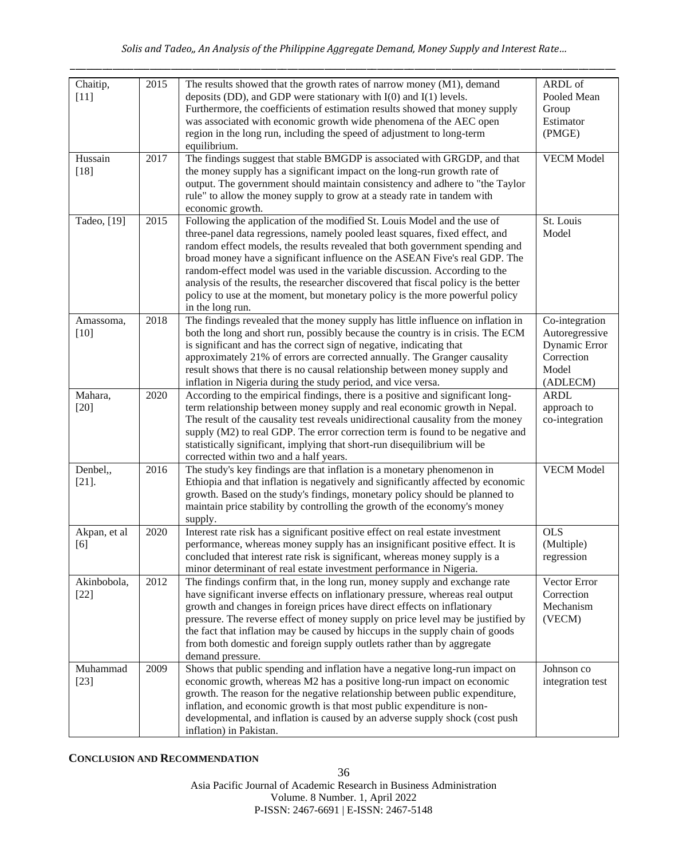| Chaitip,<br>$[11]$    | 2015 | The results showed that the growth rates of narrow money (M1), demand<br>deposits (DD), and GDP were stationary with $I(0)$ and $I(1)$ levels.<br>Furthermore, the coefficients of estimation results showed that money supply<br>was associated with economic growth wide phenomena of the AEC open<br>region in the long run, including the speed of adjustment to long-term<br>equilibrium.                                                                                                                                                                                                 | ARDL of<br>Pooled Mean<br>Group<br>Estimator<br>(PMGE)                               |
|-----------------------|------|------------------------------------------------------------------------------------------------------------------------------------------------------------------------------------------------------------------------------------------------------------------------------------------------------------------------------------------------------------------------------------------------------------------------------------------------------------------------------------------------------------------------------------------------------------------------------------------------|--------------------------------------------------------------------------------------|
| Hussain<br>$[18]$     | 2017 | The findings suggest that stable BMGDP is associated with GRGDP, and that<br>the money supply has a significant impact on the long-run growth rate of<br>output. The government should maintain consistency and adhere to "the Taylor<br>rule" to allow the money supply to grow at a steady rate in tandem with<br>economic growth.                                                                                                                                                                                                                                                           | <b>VECM</b> Model                                                                    |
| Tadeo, [19]           | 2015 | Following the application of the modified St. Louis Model and the use of<br>three-panel data regressions, namely pooled least squares, fixed effect, and<br>random effect models, the results revealed that both government spending and<br>broad money have a significant influence on the ASEAN Five's real GDP. The<br>random-effect model was used in the variable discussion. According to the<br>analysis of the results, the researcher discovered that fiscal policy is the better<br>policy to use at the moment, but monetary policy is the more powerful policy<br>in the long run. | St. Louis<br>Model                                                                   |
| Amassoma,<br>$[10]$   | 2018 | The findings revealed that the money supply has little influence on inflation in<br>both the long and short run, possibly because the country is in crisis. The ECM<br>is significant and has the correct sign of negative, indicating that<br>approximately 21% of errors are corrected annually. The Granger causality<br>result shows that there is no causal relationship between money supply and<br>inflation in Nigeria during the study period, and vice versa.                                                                                                                        | Co-integration<br>Autoregressive<br>Dynamic Error<br>Correction<br>Model<br>(ADLECM) |
| Mahara,<br>$[20]$     | 2020 | According to the empirical findings, there is a positive and significant long-<br>term relationship between money supply and real economic growth in Nepal.<br>The result of the causality test reveals unidirectional causality from the money<br>supply (M2) to real GDP. The error correction term is found to be negative and<br>statistically significant, implying that short-run disequilibrium will be<br>corrected within two and a half years.                                                                                                                                       | <b>ARDL</b><br>approach to<br>co-integration                                         |
| Denbel,,<br>$[21]$ .  | 2016 | The study's key findings are that inflation is a monetary phenomenon in<br>Ethiopia and that inflation is negatively and significantly affected by economic<br>growth. Based on the study's findings, monetary policy should be planned to<br>maintain price stability by controlling the growth of the economy's money<br>supply.                                                                                                                                                                                                                                                             | <b>VECM</b> Model                                                                    |
| Akpan, et al<br>[6]   | 2020 | Interest rate risk has a significant positive effect on real estate investment<br>performance, whereas money supply has an insignificant positive effect. It is<br>concluded that interest rate risk is significant, whereas money supply is a<br>minor determinant of real estate investment performance in Nigeria.                                                                                                                                                                                                                                                                          | <b>OLS</b><br>(Multiple)<br>regression                                               |
| Akinbobola,<br>$[22]$ | 2012 | The findings confirm that, in the long run, money supply and exchange rate<br>have significant inverse effects on inflationary pressure, whereas real output<br>growth and changes in foreign prices have direct effects on inflationary<br>pressure. The reverse effect of money supply on price level may be justified by<br>the fact that inflation may be caused by hiccups in the supply chain of goods<br>from both domestic and foreign supply outlets rather than by aggregate<br>demand pressure.                                                                                     | Vector Error<br>Correction<br>Mechanism<br>(VECM)                                    |
| Muhammad<br>$[23]$    | 2009 | Shows that public spending and inflation have a negative long-run impact on<br>economic growth, whereas M2 has a positive long-run impact on economic<br>growth. The reason for the negative relationship between public expenditure,<br>inflation, and economic growth is that most public expenditure is non-<br>developmental, and inflation is caused by an adverse supply shock (cost push<br>inflation) in Pakistan.                                                                                                                                                                     | Johnson co<br>integration test                                                       |

**CONCLUSION AND RECOMMENDATION**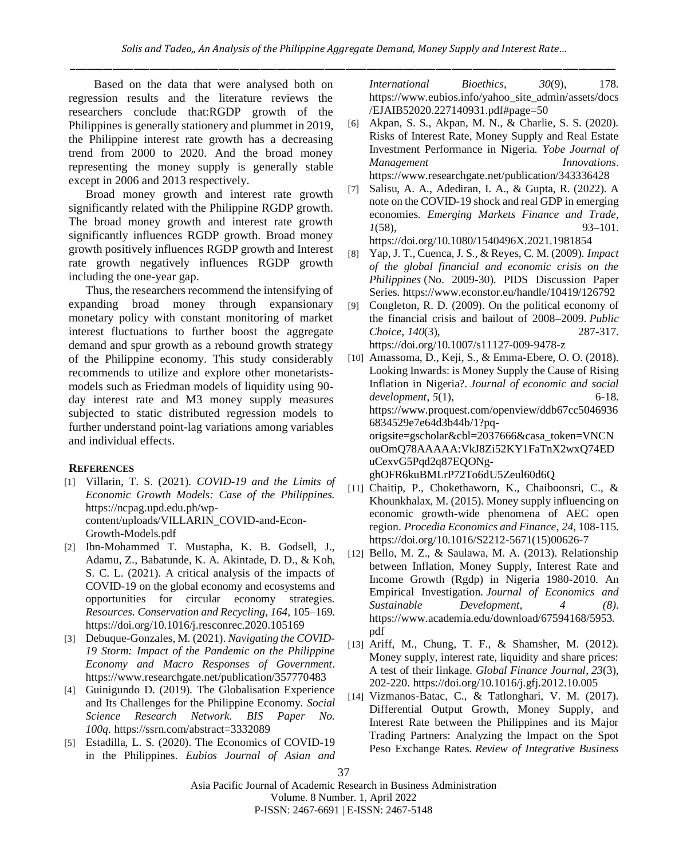Based on the data that were analysed both on regression results and the literature reviews the researchers conclude that:RGDP growth of the Philippines is generally stationery and plummet in 2019, the Philippine interest rate growth has a decreasing trend from 2000 to 2020. And the broad money representing the money supply is generally stable except in 2006 and 2013 respectively.

Broad money growth and interest rate growth significantly related with the Philippine RGDP growth. The broad money growth and interest rate growth significantly influences RGDP growth. Broad money growth positively influences RGDP growth and Interest rate growth negatively influences RGDP growth including the one-year gap.

Thus, the researchers recommend the intensifying of expanding broad money through expansionary monetary policy with constant monitoring of market interest fluctuations to further boost the aggregate demand and spur growth as a rebound growth strategy of the Philippine economy. This study considerably recommends to utilize and explore other monetaristsmodels such as Friedman models of liquidity using 90 day interest rate and M3 money supply measures subjected to static distributed regression models to further understand point-lag variations among variables and individual effects.

# **REFERENCES**

- [1] Villarin, T. S. (2021). *COVID-19 and the Limits of Economic Growth Models: Case of the Philippines.*  https://ncpag.upd.edu.ph/wpcontent/uploads/VILLARIN\_COVID-and-Econ-Growth-Models.pdf
- [2] Ibn-Mohammed T. Mustapha, K. B. Godsell, J., Adamu, Z., Babatunde, K. A. Akintade, D. D., & Koh, S. C. L. (2021). A critical analysis of the impacts of COVID-19 on the global economy and ecosystems and opportunities for circular economy strategies. *Resources. Conservation and Recycling*, *164*, 105–169. <https://doi.org/10.1016/j.resconrec.2020.105169>
- [3] Debuque-Gonzales, M. (2021). *Navigating the COVID-19 Storm: Impact of the Pandemic on the Philippine Economy and Macro Responses of Government*. <https://www.researchgate.net/publication/357770483>
- [4] Guinigundo D. (2019). The Globalisation Experience and Its Challenges for the Philippine Economy. *Social Science Research Network. BIS Paper No. 100q.* <https://ssrn.com/abstract=3332089>
- [5] Estadilla, L. S. (2020). The Economics of COVID-19 in the Philippines. *Eubios Journal of Asian and*

*International Bioethics*, *30*(9), 178. [https://www.eubios.info/yahoo\\_site\\_admin/assets/docs](https://www.eubios.info/yahoo_site_admin/assets/docs/EJAIB52020.227140931.pdf#page=50) [/EJAIB52020.227140931.pdf#page=50](https://www.eubios.info/yahoo_site_admin/assets/docs/EJAIB52020.227140931.pdf#page=50)

- [6] Akpan, S. S., Akpan, M. N., & Charlie, S. S. (2020). Risks of Interest Rate, Money Supply and Real Estate Investment Performance in Nigeria. *Yobe Journal of Management Innovations*. <https://www.researchgate.net/publication/343336428>
- [7] Salisu, A. A., Adediran, I. A., & Gupta, R. (2022). A note on the COVID-19 shock and real GDP in emerging economies. *Emerging Markets Finance and Trade*, *1*(58), 93–101. <https://doi.org/10.1080/1540496X.2021.1981854>
- [8] Yap, J. T., Cuenca, J. S., & Reyes, C. M. (2009). *Impact of the global financial and economic crisis on the Philippines* (No. 2009-30). PIDS Discussion Paper Series. <https://www.econstor.eu/handle/10419/126792>
- [9] Congleton, R. D. (2009). On the political economy of the financial crisis and bailout of 2008–2009. *Public Choice*, *140*(3), 287-317. https://doi.org/10.1007/s11127-009-9478-z

[10] Amassoma, D., Keji, S., & Emma-Ebere, O. O. (2018). Looking Inwards: is Money Supply the Cause of Rising Inflation in Nigeria?. *Journal of economic and social development*, *5*(1), 6-18. https://www.proquest.com/openview/ddb67cc5046936 6834529e7e64d3b44b/1?pqorigsite=gscholar&cbl=2037666&casa\_token=VNCN ouOmQ78AAAAA:VkJ8Zi52KY1FaTnX2wxQ74ED uCexvG5Pqd2q87EQONg-

ghOFR6kuBMLrP72To6dU5Zeul60d6Q

- [11] Chaitip, P., Chokethaworn, K., Chaiboonsri, C., & Khounkhalax, M. (2015). Money supply influencing on economic growth-wide phenomena of AEC open region. *Procedia Economics and Finance*, *24*, 108-115. [https://doi.org/10.1016/S2212-5671\(15\)00626-7](https://doi.org/10.1016/S2212-5671(15)00626-7)
- [12] Bello, M. Z., & Saulawa, M. A. (2013). Relationship between Inflation, Money Supply, Interest Rate and Income Growth (Rgdp) in Nigeria 1980-2010. An Empirical Investigation. *Journal of Economics and Sustainable Development, 4 (8)*. https://www.academia.edu/download/67594168/5953. pdf
- [13] Ariff, M., Chung, T. F., & Shamsher, M. (2012). Money supply, interest rate, liquidity and share prices: A test of their linkage. *Global Finance Journal*, *23*(3), 202-220. <https://doi.org/10.1016/j.gfj.2012.10.005>
- [14] Vizmanos-Batac, C., & Tatlonghari, V. M. (2017). Differential Output Growth, Money Supply, and Interest Rate between the Philippines and its Major Trading Partners: Analyzing the Impact on the Spot Peso Exchange Rates. *Review of Integrative Business*

<sup>37</sup>